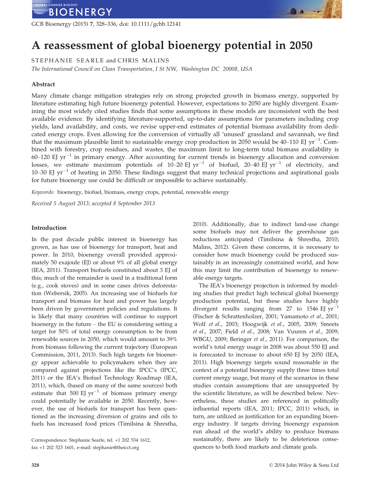GCB Bioenergy (2015) 7, 328–336, doi: 10.1111/gcbb.12141

# A reassessment of global bioenergy potential in 2050

STEPHANIE SEARLE and CHRIS MALINS

The International Council on Clean Transportation, I St NW, Washington DC 20008, USA

# Abstract

Many climate change mitigation strategies rely on strong projected growth in biomass energy, supported by literature estimating high future bioenergy potential. However, expectations to 2050 are highly divergent. Examining the most widely cited studies finds that some assumptions in these models are inconsistent with the best available evidence. By identifying literature-supported, up-to-date assumptions for parameters including crop yields, land availability, and costs, we revise upper-end estimates of potential biomass availability from dedicated energy crops. Even allowing for the conversion of virtually all 'unused' grassland and savannah, we find that the maximum plausible limit to sustainable energy crop production in 2050 would be 40–110 EJ yr<sup>-1</sup>. Combined with forestry, crop residues, and wastes, the maximum limit to long-term total biomass availability is 60–120 EJ  $yr^{-1}$  in primary energy. After accounting for current trends in bioenergy allocation and conversion losses, we estimate maximum potentials of 10–20 EJ  $yr^{-1}$  of biofuel, 20–40 EJ  $yr^{-1}$  of electricity, and 10–30 EJ  $yr^{-1}$  of heating in 2050. These findings suggest that many technical projections and aspirational goals for future bioenergy use could be difficult or impossible to achieve sustainably.

Keywords: bioenergy, biofuel, biomass, energy crops, potential, renewable energy

Received 5 August 2013; accepted 8 September 2013

## Introduction

In the past decade public interest in bioenergy has grown, as has use of bioenergy for transport, heat and power. In 2010, bioenergy overall provided approximately 50 exajoule (EJ) or about 9% of all global energy (IEA, 2011). Transport biofuels constituted about 3 EJ of this; much of the remainder is used in a traditional form (e.g., cook stoves) and in some cases drives deforestation (Webersik, 2005). An increasing use of biofuels for transport and biomass for heat and power has largely been driven by government policies and regulations. It is likely that many countries will continue to support bioenergy in the future – the EU is considering setting a target for 50% of total energy consumption to be from renewable sources in 2050, which would amount to 39% from biomass following the current trajectory (European Commission, 2011, 2013). Such high targets for bioenergy appear achievable to policymakers when they are compared against projections like the IPCC's (IPCC, 2011) or the IEA's Biofuel Technology Roadmap (IEA, 2011), which, (based on many of the same sources) both estimate that 500 EJ  $yr^{-1}$  of biomass primary energy could potentially be available in 2050. Recently, however, the use of biofuels for transport has been questioned as the increasing diversion of grains and oils to fuels has increased food prices (Timilsina & Shrestha,

2010). Additionally, due to indirect land-use change some biofuels may not deliver the greenhouse gas reductions anticipated (Timilsina & Shrestha, 2010; Malins, 2012). Given these concerns, it is necessary to consider how much bioenergy could be produced sustainably in an increasingly constrained world, and how this may limit the contribution of bioenergy to renewable energy targets.

00-

The IEA's bioenergy projection is informed by modeling studies that predict high technical global bioenergy production potential, but these studies have highly divergent results ranging from 27 to 1546 EJ  $yr^{-1}$ (Fischer & Schrattenholzer, 2001; Yamamoto et al., 2001; Wolf et al., 2003; Hoogwijk et al., 2005, 2009; Smeets et al., 2007; Field et al., 2008; Van Vuuren et al., 2009; WBGU, 2009; Beringer et al., 2011). For comparison, the world's total energy usage in 2008 was about 550 EJ and is forecasted to increase to about 650 EJ by 2050 (IEA, 2011). High bioenergy targets sound reasonable in the context of a potential bioenergy supply three times total current energy usage, but many of the scenarios in these studies contain assumptions that are unsupported by the scientific literature, as will be described below. Nevertheless, these studies are referenced in politically influential reports (IEA, 2011; IPCC, 2011) which, in turn, are utilized as justification for an expanding bioenergy industry. If targets driving bioenergy expansion run ahead of the world's ability to produce biomass sustainably, there are likely to be deleterious consequences to both food markets and climate goals.

Correspondence: Stephanie Searle, tel. +1 202 534 1612, fax +1 202 523 1601, e-mail: stephanie@theicct.org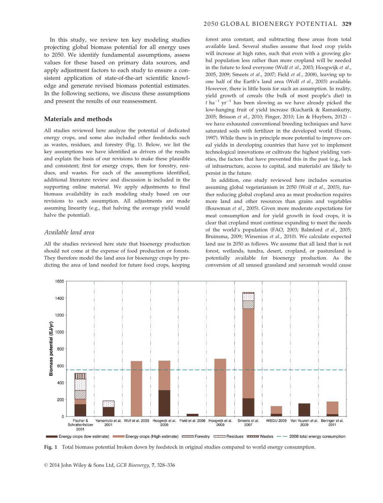In this study, we review ten key modeling studies projecting global biomass potential for all energy uses to 2050. We identify fundamental assumptions, assess values for these based on primary data sources, and apply adjustment factors to each study to ensure a consistent application of state-of-the-art scientific knowledge and generate revised biomass potential estimates. In the following sections, we discuss these assumptions and present the results of our reassessment.

# Materials and methods

All studies reviewed here analyze the potential of dedicated energy crops, and some also included other feedstocks such as wastes, residues, and forestry (Fig. 1). Below, we list the key assumptions we have identified as drivers of the results and explain the basis of our revisions to make these plausible and consistent; first for energy crops, then for forestry, residues, and wastes. For each of the assumptions identified, additional literature review and discussion is included in the supporting online material. We apply adjustments to final biomass availability in each modeling study based on our revisions to each assumption. All adjustments are made assuming linearity (e.g., that halving the average yield would halve the potential).

# Available land area

All the studies reviewed here state that bioenergy production should not come at the expense of food production or forests. They therefore model the land area for bioenergy crops by predicting the area of land needed for future food crops, keeping forest area constant, and subtracting these areas from total available land. Several studies assume that food crop yields will increase at high rates, such that even with a growing global population less rather than more cropland will be needed in the future to feed everyone (Wolf et al., 2003; Hoogwijk et al., 2005, 2009; Smeets et al., 2007; Field et al., 2008), leaving up to one half of the Earth's land area (Wolf et al., 2003) available. However, there is little basis for such an assumption. In reality, yield growth of cereals (the bulk of most people's diet) in  $t$  ha<sup>-1</sup> yr<sup>-1</sup> has been slowing as we have already picked the low-hanging fruit of yield increase (Kucharik & Ramankutty, 2005; Brisson et al., 2010; Finger, 2010; Lin & Huybers, 2012) – we have exhausted conventional breeding techniques and have saturated soils with fertilizer in the developed world (Evans, 1997). While there is in principle more potential to improve cereal yields in developing countries that have yet to implement technological innovations or cultivate the highest yielding varieties, the factors that have prevented this in the past (e.g., lack of infrastructure, access to capital, and materials) are likely to persist in the future.

In addition, one study reviewed here includes scenarios assuming global vegetarianism in 2050 (Wolf et al., 2003), further reducing global cropland area as meat production requires more land and other resources than grains and vegetables (Bouwman et al., 2005). Given more moderate expectations for meat consumption and for yield growth in food crops, it is clear that cropland must continue expanding to meet the needs of the world's population (FAO, 2003; Balmford et al., 2005; Bruinsma, 2009; Wirsenius et al., 2010). We calculate expected land use in 2050 as follows. We assume that all land that is not forest, wetlands, tundra, desert, cropland, or pastureland is potentially available for bioenergy production. As the conversion of all unused grassland and savannah would cause



Fig. 1 Total biomass potential broken down by feedstock in original studies compared to world energy consumption.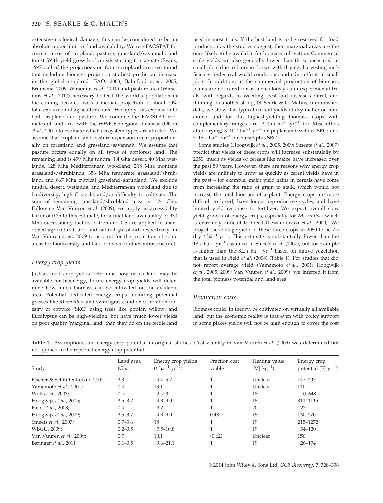extensive ecological damage, this can be considered to be an absolute upper limit on land availability. We use FAOSTAT for current areas of cropland, pasture, grassland/savannah, and forest. With yield growth of cereals starting to stagnate (Evans, 1997), all of the projections on future cropland area we found (not including biomass projection studies) predict an increase in the global cropland (FAO, 2003; Balmford et al., 2005; Bruinsma, 2009; Wirsenius et al., 2010) and pasture area (Wirsenius et al., 2010) necessary to feed the world's population in the coming decades, with a median projection of about 10% total expansion of agricultural area. We apply this expansion to both cropland and pasture. We combine the FAOSTAT estimates of land area with the WWF Ecoregions database (Olson et al., 2001) to estimate which ecosystem types are affected. We assume that cropland and pasture expansion occur proportionally on forestland and grassland/savannah. We assume that pasture occurs equally on all types of nonforest land. The remaining land is 499 Mha tundra, 1.4 Gha desert, 40 Mha wetlands, 128 Mha Mediterranean woodland, 218 Mha montane grasslands/shrublands, 356 Mha temperate grassland/shrubland, and 667 Mha tropical grassland/shrubland. We exclude tundra, desert, wetlands, and Mediterranean woodland due to biodiversity, high C stocks and/or difficulty to cultivate. The sum of remaining grassland/shrubland area is 1.24 Gha. Following Van Vuuren et al. (2009), we apply an accessibility factor of 0.75 to this estimate, for a final land availability of 930 Mha (accessibility factors of 0.75 and 0.5 are applied to abandoned agricultural land and natural grassland, respectively, in Van Vuuren et al., 2009 to account for the protection of some areas for biodiversity and lack of roads or other infrastructure).

## Energy crop yields

Just as food crop yields determine how much land may be available for bioenergy, future energy crop yields will determine how much biomass can be cultivated on the available area. Potential dedicated energy crops including perennial grasses like Miscanthus and switchgrass, and short-rotation forestry or coppice (SRC) using trees like poplar, willow, and Eucalyptus can be high-yielding, but have much lower yields on poor quality 'marginal land' than they do on the fertile land used in most trials. If the best land is to be reserved for food production as the studies suggest, then marginal areas are the ones likely to be available for biomass cultivation. Commercial scale yields are also generally lower than those measured in small plots due to biomass losses with drying, harvesting inefficiency under real world conditions, and edge effects in small plots. In addition, in the commercial production of biomass, plants are not cared for as meticulously as in experimental trials, with regards to weeding, pest and disease control, and thinning. In another study, (S. Searle & C. Malins, unpublished data) we show that typical current yields of dry matter on nonarable land for the highest-yielding biomass crops with complementary ranges are:  $3-15$  t ha<sup>-1</sup> yr<sup>-1</sup> for Miscanthus after drying;  $3-10$  t ha<sup>-1</sup> yr<sup>-1</sup>for poplar and willow SRC; and 5–15  $t$  ha<sup>-1</sup> yr<sup>-1</sup> for Eucalyptus SRC.

Some studies (Hoogwijk et al., 2005, 2009; Smeets et al., 2007) predict that yields of these crops will increase substantially by 2050, much as yields of cereals like maize have increased over the past 50 years. However, there are reasons why energy crop yields are unlikely to grow as quickly as cereal yields have in the past – for example, major yield gains in cereals have come from increasing the ratio of grain to stalk, which would not increase the total biomass of a plant. Energy crops are more difficult to breed, have longer reproductive cycles, and have limited yield response to fertilizer. We expect overall slow yield growth of energy crops, especially for Miscanthus which is extremely difficult to breed (Lewandowski et al., 2000). We project the average yield of these three crops in 2050 to be 7.5 dry t ha<sup>-1</sup> yr<sup>-1</sup>. This estimate is substantially lower than the 18 t ha<sup>-1</sup> yr<sup>-1</sup> assumed in Smeets *et al.* (2007), but for example is higher than the 3.2  $t$  ha<sup>-1</sup> yr<sup>-1</sup> based on native vegetation that is used in Field et al. (2008) (Table 1). For studies that did not report average yield (Yamamoto et al., 2001; Hoogwijk et al., 2005, 2009; Van Vuuren et al., 2009), we inferred it from the total biomass potential and land area.

## Production costs

Biomass could, in theory, be cultivated on virtually all available land, but the economic reality is that even with policy support in some places yields will not be high enough to cover the cost

| Study                            | Land area<br>(Gha) | Energy crop yields<br>$(t \text{ ha}^{-1} \text{ yr}^{-1})$ | Fraction cost<br>viable | Heating value<br>$(MJ kg^{-1})$ | Energy crop<br>potential (EJ $yr^{-1}$ )<br>147-207 |  |
|----------------------------------|--------------------|-------------------------------------------------------------|-------------------------|---------------------------------|-----------------------------------------------------|--|
| Fischer & Schrattenholzer, 2001; | 3.3                | $4.4 - 5.7$                                                 |                         | Unclear                         |                                                     |  |
| Yamamoto et al., 2001;           | 0.4                | 13.1                                                        |                         | Unclear                         | 110                                                 |  |
| Wolf et al., 2003;               | $0 - 7$            | $4 - 7.3$                                                   |                         | 18                              | $0 - 648$                                           |  |
| Hoogwijk et al., 2005;           | $3.5 - 3.7$        | $4.3 - 9.0$                                                 |                         | 15                              | 311-1115                                            |  |
| Field et al., 2008;              | 0.4                | 3.2                                                         |                         | 20                              | 27                                                  |  |
| Hoogwijk et al., 2009;           | $3.5 - 3.7$        | $4.3 - 9.0$                                                 | 0.48                    | 15                              | 130–270                                             |  |
| Smeets et al., 2007;             | $0.7 - 3.6$        | 18                                                          |                         | 19                              | 215-1272                                            |  |
| WBGU, 2009;                      | $0.2 - 0.5$        | $7.5 - 10.8$                                                |                         | 19                              | $34 - 120$                                          |  |
| Van Vuuren et al., 2009;         | 0.7                | 10.1                                                        | (0.62)                  | Unclear                         | 150                                                 |  |
| Beringer et al., 2011            | $0.1 - 0.5$        | $9.6 - 21.1$                                                |                         | 19                              | $26 - 174$                                          |  |

Table 1 Assumptions and energy crop potential in original studies. Cost viability in Van Vuuren et al. (2009) was determined but not applied to the reported energy crop potential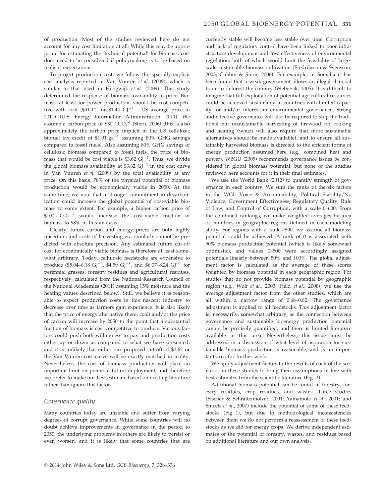of production. Most of the studies reviewed here do not account for any cost limitation at all. While this may be appropriate for estimating the 'technical potential' for biomass, cost does need to be considered if policymaking is to be based on realistic expectations.

To project production cost, we follow the spatially explicit cost analysis reported in Van Vuuren et al. (2009), which is similar to that used in Hoogwijk et al. (2009). This study determined the response of biomass availability to price. Biomass, at least for power production, should be cost competitive with coal (\$41  $t^{-1}$  or \$1.44 GJ<sup>-1</sup> – US average price in 2011) (U.S. Energy Information Administration, 2011). We assume a carbon price of  $$30 \t{CO<sub>2</sub>^{-1}}$  (Stern, 2006) (this is also approximately the carbon price implicit in the US cellulosic biofuel tax credit of  $$1.01$  ga<sup>-1</sup> assuming 80% GHG savings compared to fossil fuels). Also assuming 80% GHG savings of cellulosic biomass compared to fossil fuels, the price of biomass that would be cost viable is  $$3.62$  GJ<sup>-1</sup>. Thus, we divide the global biomass availability at \$3.62  $GI^{-1}$  in the cost curve in Van Vuuren et al. (2009) by the total availability at any price. On this basis, 78% of the physical potential of biomass production would be economically viable in 2050. At the same time, we note that a stronger commitment to decarbonization could increase the global potential of cost-viable biomass to some extent. For example, a higher carbon price of \$100  $t$  CO<sub>2</sub><sup>-1</sup> would increase the cost-viable fraction of biomass to 98% in this analysis.

Clearly, future carbon and energy prices are both highly uncertain, and costs of harvesting etc. similarly cannot be predicted with absolute precision. Any estimated future cut-off cost for economically viable biomass is therefore at least somewhat arbitrary. Today, cellulosic feedstocks are expensive to produce (\$5.04–6.18  $GI^{-1}$ , \$4.59  $GI^{-1}$ , and \$6.07–8.24  $GI^{-1}$  for perennial grasses, forestry residues and agricultural residues, respectively, calculated from the National Research Council of the National Academies (2011) assuming 15% moisture and the heating values described below). Still, we believe it is reasonable to expect production costs in this nascent industry to decrease over time as farmers gain experience. It is also likely that the price of energy alternative (here, coal) and/or the price of carbon will increase by 2050 to the point that a substantial fraction of biomass is cost competitive to produce. Various factors could push both willingness to pay and production costs either up or down as compared to what we have presented, and it is unlikely that either our proposed cut-off of \$3.62 or the Van Vuuren cost curve will be exactly matched in reality. Nevertheless, the cost of biomass production will place an important limit on potential future deployment, and therefore we prefer to make our best estimate based on existing literature rather than ignore this factor.

#### Governance quality

Many countries today are unstable and suffer from varying degrees of corrupt governance. While some countries will no doubt achieve improvements in governance in the period to 2050, the underlying problems in others are likely to persist or even worsen, and it is likely that some countries that are currently stable will become less stable over time. Corruption and lack of regulatory control have been linked to poor infrastructure development and low effectiveness of environmental regulation, both of which would limit the feasibility of largescale sustainable biomass cultivation (Fredriksson & Svensson, 2003; Cubbin & Stern, 2006). For example, in Somalia it has been found that a weak government allows an illegal charcoal trade to deforest the country (Webersik, 2005). It is difficult to imagine that full exploitation of potential agricultural resources could be achieved sustainably in countries with limited capacity for and/or interest in environmental governance. Strong and effective governance will also be required to stop the traditional but unsustainable harvesting of firewood for cooking and heating (which will also require that more sustainable alternatives should be made available), and to ensure all sustainably harvested biomass is directed to the efficient forms of energy production assumed here (e.g., combined heat and power). WBGU (2009) recommends governance issues be considered in global biomass potential, but none of the studies reviewed here accounts for it in their final estimates.

We use the World Bank (2012) to quantify strength of governance in each country. We sum the ranks of the six factors in the WGI: Voice & Accountability, Political Stability/No Violence, Government Effectiveness, Regulatory Quality, Rule of Law, and Control of Corruption, with a scale 0–600. From the combined rankings, we make weighted averages by area of countries in geographic regions defined in each modeling study. For regions with a rank >500, we assume all biomass potential could be achieved. A rank of 0 is associated with 50% biomass production potential (which is likely somewhat optimistic), and values 0–500 were accordingly assigned potentials linearly between 50% and 100%. The global adjustment factor is calculated as the average of these scores weighted by biomass potential in each geographic region. For studies that do not provide biomass potential by geographic region (e.g., Wolf et al., 2003; Field et al., 2008), we use the average adjustment factor from the other studies, which are all within a narrow range of 0.68–0.82. The governance adjustment is applied to all feedstocks. This adjustment factor is, necessarily, somewhat arbitrary, as the connection between governance and sustainable bioenergy production potential cannot be precisely quantified, and there is limited literature available in this area. Nevertheless, this issue must be addressed in a discussion of what level of aspiration for sustainable biomass production is reasonable, and is an important area for further work.

We apply adjustment factors to the results of each of the scenarios in these studies to bring their assumptions in line with best estimates from the scientific literature (Fig. 2).

Additional biomass potential can be found in forestry, forestry residues, crop residues, and wastes. Three studies (Fischer & Schrattenholzer, 2001; Yamamoto et al., 2001; and Smeets et al., 2007) include the potential of some of these feedstocks (Fig. 1), but due to methodological inconsistencies between them we do not perform a reassessment of these feedstocks as we did for energy crops. We derive independent estimates of the potential of forestry, wastes, and residues based on additional literature and our own analysis.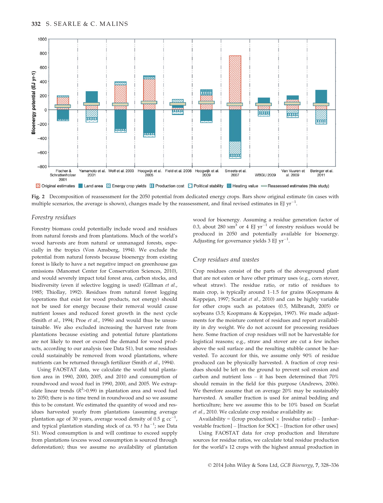

Fig. 2 Decomposition of reassessment for the 2050 potential from dedicated energy crops. Bars show original estimate (in cases with multiple scenarios, the average is shown), changes made by the reassessment, and final revised estimates in EJ yr<sup>-1</sup>.

## Forestry residues

Forestry biomass could potentially include wood and residues from natural forests and from plantations. Much of the world's wood harvests are from natural or unmanaged forests, especially in the tropics (Von Amsberg, 1994). We exclude the potential from natural forests because bioenergy from existing forest is likely to have a net negative impact on greenhouse gas emissions (Manomet Center for Conservation Sciences, 2010), and would severely impact total forest area, carbon stocks, and biodiversity (even if selective logging is used) (Gillman et al., 1985; Thiollay, 1992). Residues from natural forest logging (operations that exist for wood products, not energy) should not be used for energy because their removal would cause nutrient losses and reduced forest growth in the next cycle (Smith et al., 1994; Proe et al., 1996) and would thus be unsustainable. We also excluded increasing the harvest rate from plantations because existing and potential future plantations are not likely to meet or exceed the demand for wood products, according to our analysis (see Data S1), but some residues could sustainably be removed from wood plantations, where nutrients can be returned through fertilizer (Smith et al., 1994).

Using FAOSTAT data, we calculate the world total plantation area in 1990, 2000, 2005, and 2010 and consumption of roundwood and wood fuel in 1990, 2000, and 2005. We extrapolate linear trends ( $R^2$ >0.99) in plantation area and wood fuel to 2050; there is no time trend in roundwood and so we assume this to be constant. We estimated the quantity of wood and residues harvested yearly from plantations (assuming average plantation age of 30 years, average wood density of  $0.5$  g  $cc$ <sup>-</sup> , and typical plantation standing stock of ca. 93  $t$  ha<sup>-1</sup>; see Data S1). Wood consumption is and will continue to exceed supply from plantations (excess wood consumption is sourced through deforestation); thus we assume no availability of plantation wood for bioenergy. Assuming a residue generation factor of 0.3, about 280  $\text{Mm}^3$  or 4 EJ yr<sup>-1</sup> of forestry residues would be produced in 2050 and potentially available for bioenergy. Adjusting for governance yields  $3$  EJ yr<sup>-1</sup>.

## Crop residues and wastes

Crop residues consist of the parts of the aboveground plant that are not eaten or have other primary uses (e.g., corn stover, wheat straw). The residue ratio, or ratio of residues to main crop, is typically around  $1-1.5$  for grains (Koopmans  $\&$ Koppejan, 1997; Scarlat et al., 2010) and can be highly variable for other crops such as potatoes (0.5, Milbrandt, 2005) or soybeans (3.5; Koopmans & Koppejan, 1997). We made adjustments for the moisture content of residues and report availability in dry weight. We do not account for processing residues here. Some fraction of crop residues will not be harvestable for logistical reasons; e.g., straw and stover are cut a few inches above the soil surface and the resulting stubble cannot be harvested. To account for this, we assume only 90% of residue produced can be physically harvested. A fraction of crop residues should be left on the ground to prevent soil erosion and carbon and nutrient loss – it has been determined that 70% should remain in the field for this purpose (Andrews, 2006). We therefore assume that on average 20% may be sustainably harvested. A smaller fraction is used for animal bedding and horticulture; here we assume this to be 10% based on Scarlat et al., 2010. We calculate crop residue availability as:

Availability = ([crop production]  $\times$  [residue ratio]) – [unharvestable fraction] – [fraction for SOC] – [fraction for other uses]

Using FAOSTAT data for crop production and literature sources for residue ratios, we calculate total residue production for the world's 12 crops with the highest annual production in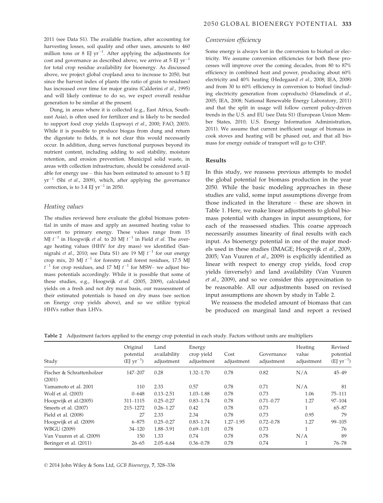2011 (see Data S1). The available fraction, after accounting for harvesting losses, soil quality and other uses, amounts to 460 million tons or 8 EJ  $yr^{-1}$ . After applying the adjustments for cost and governance as described above, we arrive at  $5 \text{ EI yr}^{-1}$ for total crop residue availability for bioenergy. As discussed above, we project global cropland area to increase to 2050, but since the harvest index of plants (the ratio of grain to residues) has increased over time for major grains (Calderini et al., 1995) and will likely continue to do so, we expect overall residue generation to be similar at the present.

Dung, in areas where it is collected (e.g., East Africa, Southeast Asia), is often used for fertilizer and is likely to be needed to support food crop yields (Lupwayi et al., 2000; FAO, 2003). While it is possible to produce biogas from dung and return the digestate to fields, it is not clear this would necessarily occur. In addition, dung serves functional purposes beyond its nutrient content, including adding to soil stability, moisture retention, and erosion prevention. Municipal solid waste, in areas with collection infrastructure, should be considered available for energy use – this has been estimated to amount to 5 EJ  $yr^{-1}$  (Shi *et al.,* 2009), which, after applying the governance correction, is to 3.4 EJ  $yr^{-1}$  in 2050.

# Heating values

The studies reviewed here evaluate the global biomass potential in units of mass and apply an assumed heating value to convert to primary energy. These values range from 15 MJ  $t^{-1}$  in Hoogwijk *et al.* to 20 MJ  $t^{-1}$  in Field *et al.* The average heating values (HHV for dry mass) we identified (Sannigrahi *et al.,* 2010; see Data S1) are 19 MJ  $t^{-1}$  for our energy crop mix, 20 MJ  $t^{-1}$  for forestry and forest residues, 17.5 MJ  $t^{-1}$  for crop residues, and 17 MJ  $t^{-1}$  for MSW- we adjust biomass potentials accordingly. While it is possible that some of these studies, e.g., Hoogwijk et al. (2005, 2009), calculated yields on a fresh and not dry mass basis, our reassessment of their estimated potentials is based on dry mass (see section on Energy crop yields above), and so we utilize typical HHVs rather than LHVs.

#### Conversion efficiency

Some energy is always lost in the conversion to biofuel or electricity. We assume conversion efficiencies for both these processes will improve over the coming decades, from 80 to 87% efficiency in combined heat and power, producing about 60% electricity and 40% heating (Hedegaard et al., 2008; IEA, 2008) and from 30 to 60% efficiency in conversion to biofuel (including electricity generation from coproducts) (Hamelinck et al., 2005; IEA, 2008; National Renewable Energy Laboratory, 2011) and that the split in usage will follow current policy-driven trends in the U.S. and EU (see Data S1) (European Union Member States, 2010; U.S. Energy Information Administration, 2011). We assume that current inefficient usage of biomass in cook stoves and heating will be phased out, and that all biomass for energy outside of transport will go to CHP.

#### Results

In this study, we reassess previous attempts to model the global potential for biomass production in the year 2050. While the basic modeling approaches in these studies are valid, some input assumptions diverge from those indicated in the literature – these are shown in Table 1. Here, we make linear adjustments to global biomass potential with changes in input assumptions, for each of the reassessed studies. This coarse approach necessarily assumes linearity of final results with each input. As bioenergy potential in one of the major models used in these studies (IMAGE; Hoogwijk et al., 2009, 2005; Van Vuuren et al., 2009) is explicitly identified as linear with respect to energy crop yields, food crop yields (inversely) and land availability (Van Vuuren et al., 2009), and so we consider this approximation to be reasonable. All our adjustments based on revised input assumptions are shown by study in Table 2.

We reassess the modeled amount of biomass that can be produced on marginal land and report a revised

Table 2 Adjustment factors applied to the energy crop potential in each study. Factors without units are multipliers

| Study                               | Original<br>potential<br>$(EJ yr^{-1})$ | Land<br>availability<br>adjustment | Energy<br>crop yield<br>adjustment | Cost<br>adjustment | Governance<br>adjustment | Heating<br>value<br>adjustment | Revised<br>potential<br>$(EJyr^{-1})$ |
|-------------------------------------|-----------------------------------------|------------------------------------|------------------------------------|--------------------|--------------------------|--------------------------------|---------------------------------------|
| Fischer & Schrattenholzer<br>(2001) | $147 - 207$                             | 0.28                               | $1.32 - 1.70$                      | 0.78               | 0.82                     | N/A                            | $45 - 49$                             |
| Yamamoto et al. 2001                | 110                                     | 2.33                               | 0.57                               | 0.78               | 0.71                     | N/A                            | 81                                    |
| Wolf et al. (2003)                  | $0 - 648$                               | $0.13 - 2.51$                      | $1.03 - 1.88$                      | 0.78               | 0.73                     | 1.06                           | $75 - 111$                            |
| Hoogwijk et al. (2005)              | 311-1115                                | $0.25 - 0.27$                      | $0.83 - 1.74$                      | 0.78               | $0.71 - 0.77$            | 1.27                           | $97 - 104$                            |
| Smeets et al. (2007)                | 215-1272                                | $0.26 - 1.27$                      | 0.42                               | 0.78               | 0.73                     |                                | $65 - 87$                             |
| Field et al. (2008)                 | 27                                      | 2.33                               | 2.34                               | 0.78               | 0.73                     | 0.95                           | 79                                    |
| Hoogwijk et al. (2009)              | $6 - 875$                               | $0.25 - 0.27$                      | $0.83 - 1.74$                      | $1.27 - 1.95$      | $0.72 - 0.78$            | 1.27                           | $99 - 105$                            |
| <b>WBGU (2009)</b>                  | $34 - 120$                              | 1.88-3.91                          | $0.69 - 1.01$                      | 0.78               | 0.73                     |                                | 76                                    |
| Van Vuuren et al. (2009)            | 150                                     | 1.33                               | 0.74                               | 0.78               | 0.78                     | N/A                            | 89                                    |
| Beringer et al. (2011)              | $26 - 65$                               | $2.05 - 6.64$                      | $0.36 - 0.78$                      | 0.78               | 0.74                     |                                | $76 - 78$                             |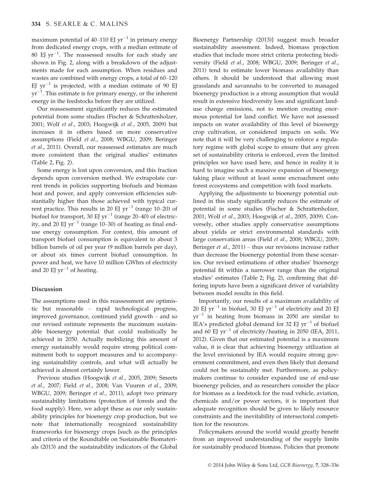maximum potential of 40–110 EI  $yr^{-1}$  in primary energy from dedicated energy crops, with a median estimate of  $80$  EJ yr $^{-1}$ . The reassessed results for each study are shown in Fig. 2, along with a breakdown of the adjustments made for each assumption. When residues and wastes are combined with energy crops, a total of 60–120 EJ  $yr^{-1}$  is projected, with a median estimate of 90 EJ  $yr^{-1}$ . This estimate is for primary energy, or the inherent energy in the feedstocks before they are utilized.

Our reassessment significantly reduces the estimated potential from some studies (Fischer & Schrattenholzer, 2001; Wolf et al., 2003; Hoogwijk et al., 2005, 2009) but increases it in others based on more conservative assumptions (Field et al., 2008; WBGU, 2009; Beringer et al., 2011). Overall, our reassessed estimates are much more consistent than the original studies' estimates (Table 2, Fig. 2).

Some energy is lost upon conversion, and this fraction depends upon conversion method. We extrapolate current trends in policies supporting biofuels and biomass heat and power, and apply conversion efficiencies substantially higher than those achieved with typical current practice. This results in 20 EJ  $yr^{-1}$  (range 10–20) of biofuel for transport, 30 EJ  $yr^{-1}$  (range 20–40) of electricity, and 20 EJ  $yr^{-1}$  (range 10–30) of heating as final enduse energy consumption. For context, this amount of transport biofuel consumption is equivalent to about 3 billion barrels of oil per year (9 million barrels per day), or about six times current biofuel consumption. In power and heat, we have 10 million GWhrs of electricity and 20 EJ  $yr^{-1}$  of heating.

# Discussion

The assumptions used in this reassessment are optimistic but reasonable – rapid technological progress, improved governance, continued yield growth – and so our revised estimate represents the maximum sustainable bioenergy potential that could realistically be achieved in 2050. Actually mobilizing this amount of energy sustainably would require strong political commitment both to support measures and to accompanying sustainability controls, and what will actually be achieved is almost certainly lower.

Previous studies (Hoogwijk et al., 2005, 2009; Smeets et al., 2007; Field et al., 2008; Van Vuuren et al., 2009; WBGU, 2009; Beringer et al., 2011), adopt two primary sustainability limitations (protection of forests and the food supply). Here, we adopt these as our only sustainability principles for bioenergy crop production, but we note that internationally recognized sustainability frameworks for bioenergy crops [such as the principles and criteria of the Roundtable on Sustainable Biomaterials (2013) and the sustainability indicators of the Global Bioenergy Partnership (2013)] suggest much broader sustainability assessment. Indeed, biomass projection studies that include more strict criteria protecting biodiversity (Field et al., 2008; WBGU, 2009; Beringer et al., 2011) tend to estimate lower biomass availability than others. It should be understood that allowing most grasslands and savannahs to be converted to managed bioenergy production is a strong assumption that would result in extensive biodiversity loss and significant landuse change emissions, not to mention creating enormous potential for land conflict. We have not assessed impacts on water availability of this level of bioenergy crop cultivation, or considered impacts on soils. We note that it will be very challenging to enforce a regulatory regime with global scope to ensure that any given set of sustainability criteria is enforced, even the limited principles we have used here, and hence in reality it is hard to imagine such a massive expansion of bioenergy taking place without at least some encroachment onto forest ecosystems and competition with food markets.

Applying the adjustments to bioenergy potential outlined in this study significantly reduces the estimate of potential in some studies (Fischer & Schrattenholzer, 2001; Wolf et al., 2003; Hoogwijk et al., 2005, 2009). Conversely, other studies apply conservative assumptions about yields or strict environmental standards with large conservation areas (Field et al., 2008; WBGU, 2009; Beringer et al., 2011) – thus our revisions increase rather than decrease the bioenergy potential from these scenarios. Our revised estimations of other studies' bioenergy potential fit within a narrower range than the original studies' estimates (Table 2; Fig. 2), confirming that differing inputs have been a significant driver of variability between model results in this field.

Importantly, our results of a maximum availability of 20 EJ yr<sup>-1</sup> in biofuel, 30 EJ yr<sup>-1</sup> of electricity and 20 EJ  $yr^{-1}$  in heating from biomass in 2050 are similar to IEA's predicted global demand for 32 EJ  $yr^{-1}$  of biofuel and 60 EJ  $yr^{-1}$  of electricity/heating in 2050 (IEA, 2011, 2012). Given that our estimated potential is a maximum value, it is clear that achieving bioenergy utilization at the level envisioned by IEA would require strong government commitment, and even then likely that demand could not be sustainably met. Furthermore, as policymakers continue to consider expanded use of end-use bioenergy policies, and as researchers consider the place for biomass as a feedstock for the road vehicle, aviation, chemicals and/or power sectors, it is important that adequate recognition should be given to likely resource constraints and the inevitability of intersectoral competition for the resources.

Policymakers around the world would greatly benefit from an improved understanding of the supply limits for sustainably produced biomass. Policies that promote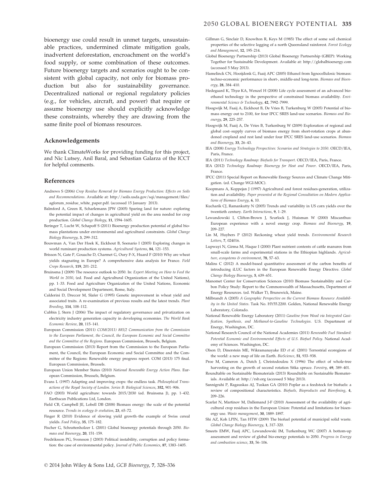bioenergy use could result in unmet targets, unsustainable practices, undermined climate mitigation goals, inadvertent deforestation, encroachment on the world's food supply, or some combination of these outcomes. Future bioenergy targets and scenarios ought to be consistent with global capacity, not only for biomass production but also for sustainability governance. Decentralized national or regional regulatory policies (e.g., for vehicles, aircraft, and power) that require or assume bioenergy use should explicitly acknowledge these constraints, whereby they are drawing from the same finite pool of biomass resources.

## Acknowledgements

We thank ClimateWorks for providing funding for this project, and Nic Lutsey, Anil Baral, and Sebastian Galarza of the ICCT for helpful comments.

#### References

- Andrews S (2006) Crop Residue Removal for Biomass Energy Production: Effects on Soils and Recommendations. Available at: http://soils.usda.gov/sqi/management/files/ agforum\_residue\_white\_paper.pdf. (accessed 15 January 2013).
- Balmford A, Green R, Scharlemann JPW (2005) Sparing land for nature: exploring the potential impact of changes in agricultural yield on the area needed for crop production. Global Change Biology, 11, 1594–1605.
- Beringer T, Lucht W, Schapoff S (2011) Bioenergy production potential of global biomass plantations under environmental and agricultural constraints. Global Change Biology Bioenergy, 3, 299–312.
- Bouwman A, Van Der Hoek K, Eickhout B, Soenario I (2005) Exploring changes in world ruminant production systems. Agricultural Systems, 84, 121–153.
- Brisson N, Gate P, Gouache D, Charmet G, Oury F-X, Huard F (2010) Why are wheat yields stagnating in Europe? A comprehensive data analysis for France. Field Crops Research, 119, 201–212.
- Bruinsma J (2009) The resource outlook to 2050. In: Expert Meeting on How to Feed the World in 2050, (ed. Food and Agricultural Organization of the United Nations), pp. 1–33. Food and Agriculture Organization of the United Nations, Economic and Social Development Department, Rome, Italy.
- Calderini D, Dreccer M, Slafer G (1995) Genetic improvement in wheat yield and associated traits. A re-examination of previous results and the latest trends. Plant Breeding, 114, 108–112.
- Cubbin J, Stern J (2006) The impact of regulatory governance and privatization on electricity industry generation capacity in developing economies. The World Bank Economic Review, 20, 115–141.
- European Commission (2011) COM(2011) 885/2 Communication from the Commission to the European Parliament, the Council, the European Economic and Social Committee and the Committee of the Regions. European Commission, Brussels, Belgium.
- European Commission (2013) Report from the Commission to the European Parliament, the Council, the European Economic and Social Committee and the Committee of the Regions: Renewable energy progress report. COM (2013) 175 final. European Commission, Brussels.
- European Union Member States (2010) National Renewable Energy Action Plans. European Commission, Brussels, Belgium.
- Evans L (1997) Adapting and improving crops: the endless task. Philosophical Transactions of the Royal Society of London. Series B: Biological Sciences, 352, 901–906.
- FAO (2003) World agriculture: towards 2015/2030 (ed. Bruinsma J), pp. 1–432. Earthscan Publications Ltd, London.
- Field CB, Campbell JE, Lobell DB (2008) Biomass energy: the scale of the potential resource. Trends in ecology & evolution, 23, 65-72.
- Finger R (2010) Evidence of slowing yield growth–the example of Swiss cereal yields. Food Policy, 35, 175–182.
- Fischer G, Schrattenholzer L (2001) Global bioenergy potentials through 2050. Biomass and Bioenergy, 20, 151–159.
- Fredriksson PG, Svensson J (2003) Political instability, corruption and policy formation: the case of environmental policy. Journal of Public Economics, 87, 1383–1405.
- Gillman G, Sinclair D, Knowlton R, Keys M (1985) The effect of some soil chemical properties of the selective logging of a north Queensland rainforest. Forest Ecology and Management, 12, 195–214.
- Global Bioenergy Partnership (2013) Global Bioenergy Partnership (GBEP): Working Together for Sustainable Development. Available at: http://globalbioenergy.com (accessed 5 May 2013).
- Hamelinck CN, Hooijdonk G, Faaij APC (2005) Ethanol from lignocellulosic biomass: techno-economic performance in short-, middle-and long-term. Biomass and Bioenergy, 28, 384–410.
- Hedegaard K, Thyø KA, Wenzel H (2008) Life cycle assessment of an advanced bioethanol technology in the perspective of constrained biomass availability. Environmental Science & Technology, 42, 7992–7999.
- Hoogwijk M, Faaij A, Eickhout B, De Vries B, Turkenburg W (2005) Potential of biomass energy out to 2100, for four IPCC SRES land-use scenarios. Biomass and Bioenergy, 29, 225–257.
- Hoogwijk M, Faaij A, De Vries B, Turkenburg W (2009) Exploration of regional and global cost–supply curves of biomass energy from short-rotation crops at abandoned cropland and rest land under four IPCC SRES land-use scenarios. Biomass and Bioenergy, 33, 26–43.
- IEA (2008) Energy Technology Perspectives: Scenarios and Strategies to 2050. OECD/IEA, Paris, France.
- IEA (2011) Technology Roadmap: Biofuels for Transport. OECD/IEA, Paris, France.
- IEA (2012) Technology Roadmap: Bioenergy for Heat and Power. OECD/IEA, Paris, France.
- IPCC (2011) Special Report on Renewable Energy Sources and Climate Change Mitigation. (ed. Change WGI-MOC).
- Koopmans A, Koppejan J (1997) Agricultural and forest residues-generation, utilization and availability. Paper presented at the Regional Consultation on Modern Applications of Biomass Energy, 6, 10.
- Kucharik CJ, Ramankutty N (2005) Trends and variability in US corn yields over the twentieth century. Earth Interactions, 9, 1–29.
- Lewandowski I, Clifton-Brown J, Scurlock J, Huisman W (2000) Miscanthus: European experience with a novel energy crop. Biomass and Bioenergy, 19, 209–227.
- Lin M, Huybers P (2012) Reckoning wheat yield trends. Environmental Research Letters, 7, 024016.
- Lupwayi N, Girma M, Haque I (2000) Plant nutrient contents of cattle manures from small-scale farms and experimental stations in the Ethiopian highlands. Agriculture, ecosystems & environment, 78, 57-63.
- Malins C (2012) A model-based quantitative assessment of the carbon benefits of introducing iLUC factors in the European Renewable Energy Directive. Global Change Biology Bioenergy, 5, 639–651.
- Manomet Center for Conservation Sciences (2010) Biomass Sustainability and Carbon Policy Study: Report to the Commonwealth of Massachusetts, Department of Energy Resources. (ed. Walker T), Brunswick, Maine.
- Milbrandt A (2005) A Geographic Perspective on the Current Biomass Resource Availability in the United States. Task No. HY55.2200. Golden, National Renewable Energy Laboratory, Colorado.
- National Renewable Energy Laboratory (2011) Gasoline from Wood via Integrated Gasification, Synthesis, and Methanol-to-Gasoline Technologies. U.S. Department of Energy, Washington, DC.
- National Research Council of the National Academies (2011) Renewable Fuel Standard: Potential Economic and Environmental Effects of U.S. Biofuel Policy. National Academy of Sciences. Washington, DC.
- Olson D, Dinerstein ME, Wikramanayake ED et al. (2001) Terrestrial ecoregions of the world: a new map of life on Earth. BioScience, 51, 933–938.
- Proe M, Cameron A, Dutch J, Christodoulou X (1996) The effect of whole-tree harvesting on the growth of second rotation Sitka spruce. Forestry, 69, 389–401.
- Roundtable on Sustainable Biomaterials (2013) Roundtable on Sustainable Biomaterials. Available at: http://rsb.org (accessed 5 May 2013).
- Sannigrahi P, Ragauskas AJ, Tuskan GA (2010) Poplar as a feedstock for biofuels: a review of compositional characteristics. Biofuels, Bioproducts and Biorefining, 4, 209–226.
- Scarlat N, Martinov M, Dallemand J-F (2010) Assessment of the availability of agricultural crop residues in the European Union: Potential and limitations for bioenergy use. Waste management, 30, 1889–1897.
- Shi AZ, Koh LPIN, Tan HTW (2009) The biofuel potential of municipal solid waste. Global Change Biology Bioenergy, 1, 317–320.
- Smeets EMW, Faaij APC, Lewandowski IM, Turkenburg WC (2007) A bottom-up assessment and review of global bio-energy potentials to 2050. Progress in Energy and combustion science, 33, 56–106.